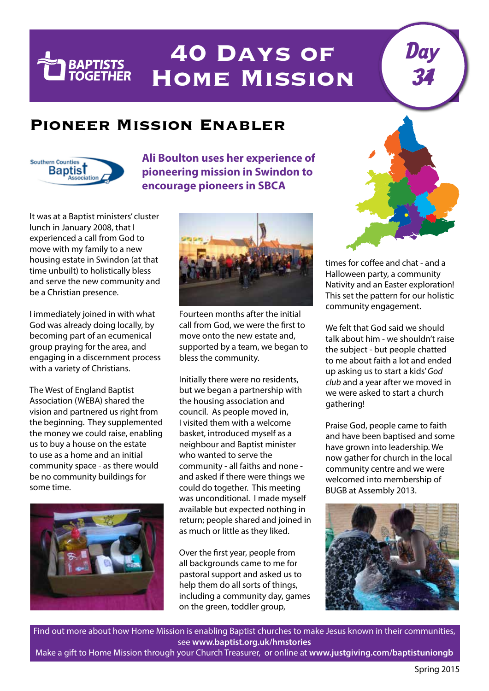## **40 Days of Home Mission**

## **Pioneer Mission Enabler**



**TEL BAPTISTS** 

**Ali Boulton uses her experience of pioneering mission in Swindon to encourage pioneers in SBCA**

It was at a Baptist ministers' cluster lunch in January 2008, that I experienced a call from God to move with my family to a new housing estate in Swindon (at that time unbuilt) to holistically bless and serve the new community and be a Christian presence.

I immediately joined in with what God was already doing locally, by becoming part of an ecumenical group praying for the area, and engaging in a discernment process with a variety of Christians.

The West of England Baptist Association (WEBA) shared the vision and partnered us right from the beginning. They supplemented the money we could raise, enabling us to buy a house on the estate to use as a home and an initial community space - as there would be no community buildings for some time.





Fourteen months after the initial call from God, we were the first to move onto the new estate and, supported by a team, we began to bless the community.

Initially there were no residents, but we began a partnership with the housing association and council. As people moved in, I visited them with a welcome basket, introduced myself as a neighbour and Baptist minister who wanted to serve the community - all faiths and none and asked if there were things we could do together. This meeting was unconditional. I made myself available but expected nothing in return; people shared and joined in as much or little as they liked.

Over the first year, people from all backgrounds came to me for pastoral support and asked us to help them do all sorts of things, including a community day, games on the green, toddler group,



Day

34

times for coffee and chat - and a Halloween party, a community Nativity and an Easter exploration! This set the pattern for our holistic community engagement.

We felt that God said we should talk about him - we shouldn't raise the subject - but people chatted to me about faith a lot and ended up asking us to start a kids' *God club* and a year after we moved in we were asked to start a church gathering!

Praise God, people came to faith and have been baptised and some have grown into leadership. We now gather for church in the local community centre and we were welcomed into membership of BUGB at Assembly 2013.



Find out more about how Home Mission is enabling Baptist churches to make Jesus known in their communities, see **www.baptist.org.uk/hmstories**

Make a gift to Home Mission through your Church Treasurer, or online at **www.justgiving.com/baptistuniongb**